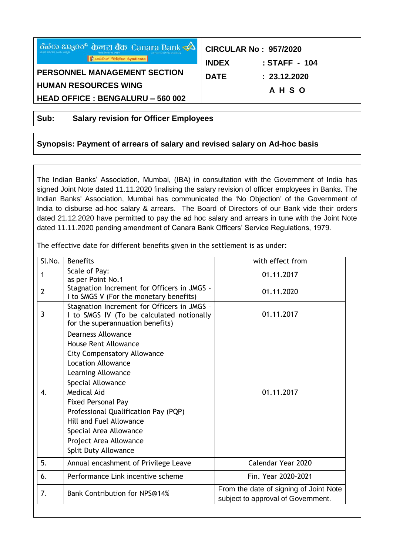| ಕೆನರು ಬ್ಯಾಂಕ್ ф <del>ொ</del> பு बैंक Canara Bank $\overrightarrow{ }\Delta$<br><b>OF LOOS</b> NOT THIS AND Syndicate | <b>CIRCULAR No: 957/2020</b><br><b>INDEX</b><br>: STAFF - 104 |
|----------------------------------------------------------------------------------------------------------------------|---------------------------------------------------------------|
| PERSONNEL MANAGEMENT SECTION                                                                                         | <b>DATE</b><br>: 23.12.2020                                   |
| <b>HUMAN RESOURCES WING</b>                                                                                          | <b>AHSO</b>                                                   |
| <b>HEAD OFFICE : BENGALURU - 560 002</b>                                                                             |                                                               |

**Sub: Salary revision for Officer Employees** 

# **Synopsis: Payment of arrears of salary and revised salary on Ad-hoc basis**

The Indian Banks' Association, Mumbai, (IBA) in consultation with the Government of India has signed Joint Note dated 11.11.2020 finalising the salary revision of officer employees in Banks. The Indian Banks' Association, Mumbai has communicated the 'No Objection' of the Government of India to disburse ad-hoc salary & arrears. The Board of Directors of our Bank vide their orders dated 21.12.2020 have permitted to pay the ad hoc salary and arrears in tune with the Joint Note dated 11.11.2020 pending amendment of Canara Bank Officers' Service Regulations, 1979.

The effective date for different benefits given in the settlement is as under:

| Sl.No.         | <b>Benefits</b>                                                                                                                                                                                                                                                                                                                                                   | with effect from                                                             |
|----------------|-------------------------------------------------------------------------------------------------------------------------------------------------------------------------------------------------------------------------------------------------------------------------------------------------------------------------------------------------------------------|------------------------------------------------------------------------------|
| 1              | Scale of Pay:<br>as per Point No.1                                                                                                                                                                                                                                                                                                                                | 01.11.2017                                                                   |
| $\overline{2}$ | Stagnation Increment for Officers in JMGS -<br>I to SMGS V (For the monetary benefits)                                                                                                                                                                                                                                                                            | 01.11.2020                                                                   |
| 3              | Stagnation Increment for Officers in JMGS -<br>I to SMGS IV (To be calculated notionally<br>for the superannuation benefits)                                                                                                                                                                                                                                      | 01.11.2017                                                                   |
| $\mathbf{4}$ . | <b>Dearness Allowance</b><br><b>House Rent Allowance</b><br><b>City Compensatory Allowance</b><br><b>Location Allowance</b><br>Learning Allowance<br>Special Allowance<br>Medical Aid<br><b>Fixed Personal Pay</b><br>Professional Qualification Pay (PQP)<br>Hill and Fuel Allowance<br>Special Area Allowance<br>Project Area Allowance<br>Split Duty Allowance | 01.11.2017                                                                   |
| 5.             | Annual encashment of Privilege Leave                                                                                                                                                                                                                                                                                                                              | Calendar Year 2020                                                           |
| 6.             | Performance Link incentive scheme                                                                                                                                                                                                                                                                                                                                 | Fin. Year 2020-2021                                                          |
| 7.             | Bank Contribution for NPS@14%                                                                                                                                                                                                                                                                                                                                     | From the date of signing of Joint Note<br>subject to approval of Government. |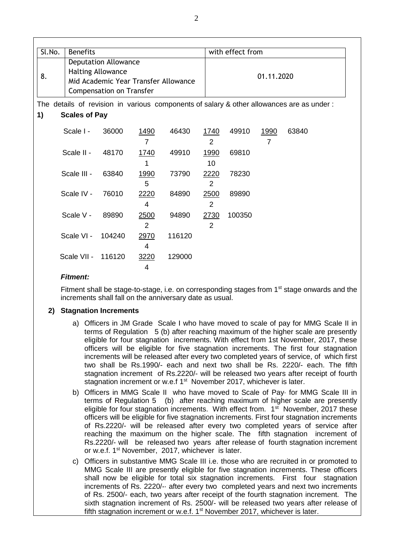| Sl.No. | <b>Benefits</b>      |                                                                                                                             |                               |                                                                                          |                        | with effect from |            |       |  |
|--------|----------------------|-----------------------------------------------------------------------------------------------------------------------------|-------------------------------|------------------------------------------------------------------------------------------|------------------------|------------------|------------|-------|--|
| 8.     |                      | <b>Deputation Allowance</b><br>Halting Allowance<br>Mid Academic Year Transfer Allowance<br><b>Compensation on Transfer</b> |                               |                                                                                          |                        |                  | 01.11.2020 |       |  |
|        |                      |                                                                                                                             |                               | The details of revision in various components of salary & other allowances are as under: |                        |                  |            |       |  |
| 1)     | <b>Scales of Pay</b> |                                                                                                                             |                               |                                                                                          |                        |                  |            |       |  |
|        | Scale I -            | 36000                                                                                                                       | <u>1490</u><br>$\overline{7}$ | 46430                                                                                    | 1740<br>$\overline{2}$ | 49910            | 1990<br>7  | 63840 |  |
|        | Scale II -           | 48170                                                                                                                       | 1740<br>1                     | 49910                                                                                    | 1990<br>10             | 69810            |            |       |  |
|        | Scale III -          | 63840                                                                                                                       | 1990<br>5                     | 73790                                                                                    | 2220<br>2              | 78230            |            |       |  |
|        | Scale IV -           | 76010                                                                                                                       | 2220<br>4                     | 84890                                                                                    | 2500<br>2              | 89890            |            |       |  |
|        | Scale V -            | 89890                                                                                                                       | 2500<br>$\overline{2}$        | 94890                                                                                    | 2730<br>$\overline{2}$ | 100350           |            |       |  |
|        | Scale VI -           | 104240                                                                                                                      | 2970<br>4                     | 116120                                                                                   |                        |                  |            |       |  |
|        | Scale VII - 116120   |                                                                                                                             | 3220<br>4                     | 129000                                                                                   |                        |                  |            |       |  |

#### *Fitment:*

Fitment shall be stage-to-stage, i.e. on corresponding stages from 1<sup>st</sup> stage onwards and the increments shall fall on the anniversary date as usual.

## **2) Stagnation Increments**

- a) Officers in JM Grade Scale I who have moved to scale of pay for MMG Scale II in terms of Regulation 5 (b) after reaching maximum of the higher scale are presently eligible for four stagnation increments. With effect from 1st November, 2017, these officers will be eligible for five stagnation increments. The first four stagnation increments will be released after every two completed years of service, of which first two shall be Rs.1990/- each and next two shall be Rs. 2220/- each. The fifth stagnation increment of Rs.2220/- will be released two years after receipt of fourth stagnation increment or w.e.f 1<sup>st</sup> November 2017, whichever is later.
- b) Officers in MMG Scale II who have moved to Scale of Pay· for MMG Scale III in terms of Regulation 5 (b) after reaching maximum of higher scale are presently eligible for four stagnation increments. With effect from. 1<sup>st</sup> November, 2017 these officers will be eligible for five stagnation increments. First four stagnation increments of Rs.2220/- will be released after every two completed years of service after reaching the maximum on the higher scale. The fifth stagnation increment of Rs.2220/- will be released two years after release of fourth stagnation increment or w.e.f. 1<sup>st</sup> November, 2017, whichever is later.
- c) Officers in substantive MMG Scale III i.e. those who are recruited in or promoted to MMG Scale III are presently eligible for five stagnation increments. These officers shall now be eligible for total six stagnation increments. First four stagnation increments of Rs. 2220/-· after every two completed years and next two increments of Rs. 2500/- each, two years after receipt of the fourth stagnation increment. The sixth stagnation increment of Rs. 2500/- will be released two years after release of fifth stagnation increment or w.e.f. 1<sup>st</sup> November 2017, whichever is later.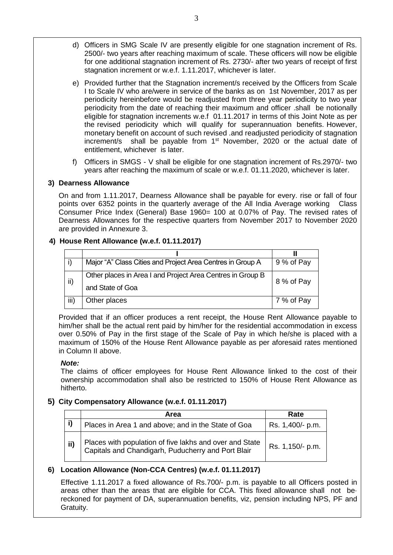- d) Officers in SMG Scale IV are presently eligible for one stagnation increment of Rs. 2500/- two years after reaching maximum of scale. These officers will now be eligible for one additional stagnation increment of Rs. 2730/- after two years of receipt of first stagnation increment or w.e.f. 1.11.2017, whichever is later.
- e) Provided further that the Stagnation increment/s received by the Officers from Scale I to Scale IV who are/were in service of the banks as on 1st November, 2017 as per periodicity hereinbefore would be readjusted from three year periodicity to two year periodicity from the date of reaching their maximum and officer .shall be notionally eligible for stagnation increments w.e.f 01.11.2017 in terms of this Joint Note as per the revised periodicity which will qualify for superannuation benefits. However, monetary benefit on account of such revised .and readjusted periodicity of stagnation increment/s shall be payable from 1<sup>st</sup> November, 2020 or the actual date of entitlement, whichever is later.
- f) Officers in SMGS V shall be eligible for one stagnation increment of Rs.2970/- two years after reaching the maximum of scale or w.e.f. 01.11.2020, whichever is later.

## **3) Dearness Allowance**

On and from 1.11.2017, Dearness Allowance shall be payable for every. rise or fall of four points over 6352 points in the quarterly average of the All India Average working Class Consumer Price Index (General) Base 1960= 100 at 0.07% of Pay. The revised rates of Dearness Allowances for the respective quarters from November 2017 to November 2020 are provided in Annexure 3.

## **4) House Rent Allowance (w.e.f. 01.11.2017)**

|      | Major "A" Class Cities and Project Area Centres in Group A | 9 % of Pay |
|------|------------------------------------------------------------|------------|
| ii)  | Other places in Area I and Project Area Centres in Group B | 8 % of Pay |
|      | and State of Goa                                           |            |
| iii) | Other places                                               | 7 % of Pay |

Provided that if an officer produces a rent receipt, the House Rent Allowance payable to him/her shall be the actual rent paid by him/her for the residential accommodation in excess over 0.50% of Pay in the first stage of the Scale of Pay in which he/she is placed with a maximum of 150% of the House Rent Allowance payable as per aforesaid rates mentioned in Column II above.

## *Note:*

The claims of officer employees for House Rent Allowance linked to the cost of their ownership accommodation shall also be restricted to 150% of House Rent Allowance as hitherto.

## **5) City Compensatory Allowance (w.e.f. 01.11.2017)**

|     | Area                                                                                                          | Rate             |
|-----|---------------------------------------------------------------------------------------------------------------|------------------|
|     | Places in Area 1 and above; and in the State of Goa                                                           | Rs. 1,400/- p.m. |
| ii) | Places with population of five lakhs and over and State<br>Capitals and Chandigarh, Puducherry and Port Blair | Rs. 1,150/- p.m. |

# **6) Location Allowance (Non-CCA Centres) (w.e.f. 01.11.2017)**

Effective 1.11.2017 a fixed allowance of Rs.700/- p.m. is payable to all Officers posted in areas other than the areas that are eligible for CCA. This fixed allowance shall not be· reckoned for payment of DA, superannuation benefits, viz, pension including NPS, PF and Gratuity.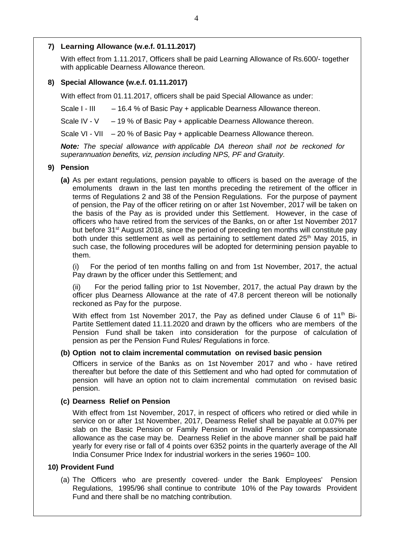## **7) Learning Allowance (w.e.f. 01.11.2017)**

With effect from 1.11.2017, Officers shall be paid Learning Allowance of Rs.600/- together with applicable Dearness Allowance thereon.

## **8) Special Allowance (w.e.f. 01.11.2017)**

With effect from 01.11.2017, officers shall be paid Special Allowance as under:

Scale I - III - - 16.4 % of Basic Pay + applicable Dearness Allowance thereon.

Scale IV - V – 19 % of Basic Pay + applicable Dearness Allowance thereon.

Scale VI - VII – 20 % of Basic Pay + applicable Dearness Allowance thereon.

*Note: The special allowance with applicable DA thereon shall not be reckoned for superannuation benefits, viz, pension including NPS, PF and Gratuity.*

## **9) Pension**

**(a)** As per extant regulations, pension payable to officers is based on the average of the emoluments drawn in the last ten months preceding the retirement of the officer in terms of Regulations 2 and 38 of the Pension Regulations. For the purpose of payment of pension, the Pay of the officer retiring on or after 1st November, 2017 will be taken on the basis of the Pay as is provided under this Settlement. However, in the case of officers who have retired from the services of the Banks, on or after 1st November 2017 but before 31<sup>st</sup> August 2018, since the period of preceding ten months will constitute pay both under this settlement as well as pertaining to settlement dated  $25<sup>th</sup>$  May 2015, in such case, the following procedures will be adopted for determining pension payable to them.

(i) For the period of ten months falling on and from 1st November, 2017, the actual Pay drawn by the officer under this Settlement; and

(ii) For the period falling prior to 1st November, 2017, the actual Pay drawn by the officer plus Dearness Allowance at the rate of 47.8 percent thereon will be notionally reckoned as Pay for the purpose.

With effect from 1st November 2017, the Pay as defined under Clause 6 of  $11<sup>th</sup>$  Bi-Partite Settlement dated 11.11.2020 and drawn by the officers who are members of the Pension Fund shall be taken into consideration for the purpose of calculation of pension as per the Pension Fund Rules/ Regulations in force.

## **(b) Option not to claim incremental commutation on revised basic pension**

Officers in service of the Banks as on 1st November 2017 and who - have retired thereafter but before the date of this Settlement and who had opted for commutation of pension will have an option not to claim incremental commutation on revised basic pension.

## **(c) Dearness Relief on Pension**

With effect from 1st November, 2017, in respect of officers who retired or died while in service on or after 1st November, 2017, Dearness Relief shall be payable at 0.07% per slab on the Basic Pension or Family Pension or Invalid Pension .or compassionate allowance as the case may be. Dearness Relief in the above manner shall be paid half yearly for every rise or fall of 4 points over 6352 points in the quarterly average of the All India Consumer Price Index for industrial workers in the series 1960= 100.

#### **10) Provident Fund**

(a) The Officers who are presently covered· under the Bank Employees' Pension Regulations, 1995/96 shall continue to contribute 10% of the Pay towards Provident Fund and there shall be no matching contribution.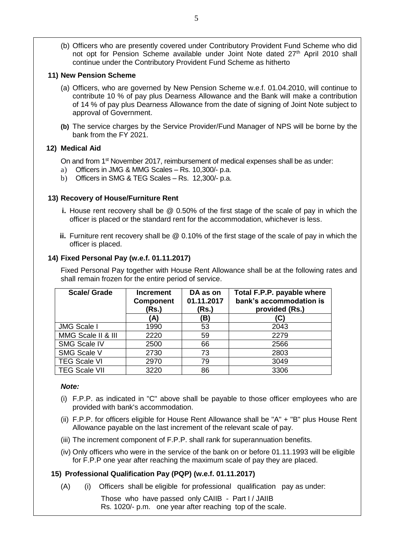(b) Officers who are presently covered under Contributory Provident Fund Scheme who did not opt for Pension Scheme available under Joint Note dated 27<sup>th</sup> April 2010 shall continue under the Contributory Provident Fund Scheme as hitherto

## **11) New Pension Scheme**

- (a) Officers, who are governed by New Pension Scheme w.e.f. 01.04.2010, will continue to contribute 10 % of pay plus Dearness Allowance and the Bank will make a contribution of 14 % of pay plus Dearness Allowance from the date of signing of Joint Note subject to approval of Government.
- **(b)** The service charges by the Service Provider/Fund Manager of NPS will be borne by the bank from the FY 2021.

## **12) Medical Aid**

On and from 1<sup>st</sup> November 2017, reimbursement of medical expenses shall be as under:

- a) Officers in JMG & MMG Scales Rs. 10,300/- p.a.
- b) Officers in SMG & TEG Scales Rs. 12,300/- p.a.

## **13) Recovery of House/Furniture Rent**

- **i.** House rent recovery shall be @ 0.50% of the first stage of the scale of pay in which the officer is placed or the standard rent for the accommodation, whichever is less.
- **ii.** Furniture rent recovery shall be @ 0.10% of the first stage of the scale of pay in which the officer is placed.

## **14) Fixed Personal Pay (w.e.f. 01.11.2017)**

Fixed Personal Pay together with House Rent Allowance shall be at the following rates and shall remain frozen for the entire period of service.

| <b>Scale/ Grade</b>  | <b>Increment</b><br><b>Component</b><br>(Rs.) | DA as on<br>01.11.2017<br>(Rs.) | Total F.P.P. payable where<br>bank's accommodation is<br>provided (Rs.) |
|----------------------|-----------------------------------------------|---------------------------------|-------------------------------------------------------------------------|
|                      | (A)                                           | B)                              | (C)                                                                     |
| <b>JMG Scale I</b>   | 1990                                          | 53                              | 2043                                                                    |
| MMG Scale II & III   | 2220                                          | 59                              | 2279                                                                    |
| <b>SMG Scale IV</b>  | 2500                                          | 66                              | 2566                                                                    |
| SMG Scale V          | 2730                                          | 73                              | 2803                                                                    |
| <b>TEG Scale VI</b>  | 2970                                          | 79                              | 3049                                                                    |
| <b>TEG Scale VII</b> | 3220                                          | 86                              | 3306                                                                    |

## *Note:*

- (i) F.P.P. as indicated in "C" above shall be payable to those officer employees who are provided with bank's accommodation.
- (ii) F.P.P. for officers eligible for House Rent Allowance shall be "A" + "B" plus House Rent Allowance payable on the last increment of the relevant scale of pay.
- (iii) The increment component of F.P.P. shall rank for superannuation benefits.
- (iv) Only officers who were in the service of the bank on or before 01.11.1993 will be eligible for F.P.P one year after reaching the maximum scale of pay they are placed.

## **15) Professional Qualification Pay (PQP) (w.e.f. 01.11.2017)**

(A) (i)Officers shall be eligible for professional qualification pay as under:  $(A)$ 

> Those who have passed only CAIIB - Part I / JAIIB Rs. 1020/- p.m. one year after reaching top of the scale.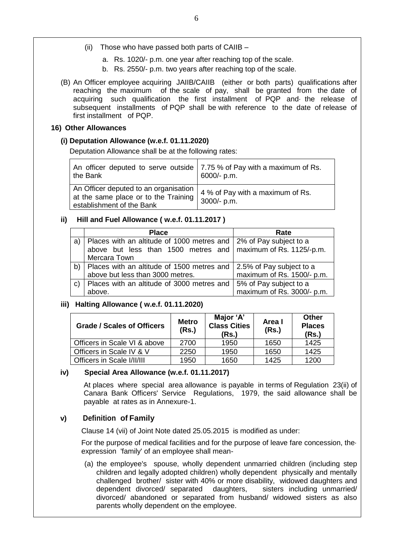- (ii) Those who have passed both parts of CAIIB
	- a. Rs. 1020/- p.m. one year after reaching top of the scale.
	- b. Rs. 2550/- p.m. two years after reaching top of the scale.
- (B) An Officer employee acquiring JAIIB/CAIIB (either or both parts) qualifications after reaching the maximum of the scale of pay, shall be granted from the date of acquiring such qualification the first installment of PQP and· the release of subsequent installments of PQP shall be with reference to the date of release of first installment of PQP.

## **16) Other Allowances**

#### **(i) Deputation Allowance (w.e.f. 01.11.2020)**

Deputation Allowance shall be at the following rates:

| An officer deputed to serve outside $\vert$ 7.75 % of Pay with a maximum of Rs.<br>the Bank                  | 6000/- p.m.                                     |
|--------------------------------------------------------------------------------------------------------------|-------------------------------------------------|
| An Officer deputed to an organisation  <br>at the same place or to the Training<br>establishment of the Bank | 4 % of Pay with a maximum of Rs.<br>3000/- p.m. |

## **ii) Hill and Fuel Allowance ( w.e.f. 01.11.2017 )**

|              | <b>Place</b>                                                          | Rate                       |
|--------------|-----------------------------------------------------------------------|----------------------------|
| a)           | Places with an altitude of 1000 metres and   2% of Pay subject to a   |                            |
|              | above but less than 1500 metres and $\vert$ maximum of Rs. 1125/-p.m. |                            |
|              | Mercara Town                                                          |                            |
| b)           | Places with an altitude of 1500 metres and                            | 2.5% of Pay subject to a   |
|              | above but less than 3000 metres.                                      | maximum of Rs. 1500/- p.m. |
| $\mathbf{C}$ | Places with an altitude of 3000 metres and   5% of Pay subject to a   |                            |
|              | above.                                                                | maximum of Rs. 3000/- p.m. |

## **iii) Halting Allowance ( w.e.f. 01.11.2020)**

| <b>Grade / Scales of Officers</b> | <b>Metro</b><br>(Rs.) | Major 'A'<br><b>Class Cities</b><br>(Rs.) | Area I<br>(Rs.) | <b>Other</b><br><b>Places</b><br>(Rs.) |
|-----------------------------------|-----------------------|-------------------------------------------|-----------------|----------------------------------------|
| Officers in Scale VI & above      | 2700                  | 1950                                      | 1650            | 1425                                   |
| Officers in Scale IV & V          | 2250                  | 1950                                      | 1650            | 1425                                   |
| Officers in Scale I/II/III        | 1950                  | 1650                                      | 1425            | 1200                                   |

## **iv) Special Area Allowance (w.e.f. 01.11.2017)**

At places where special area allowance is payable in terms of Regulation 23(ii) of Canara Bank Officers' Service Regulations, 1979, the said allowance shall be payable at rates as in Annexure-1.

## **v) Definition of Family**

Clause 14 (vii) of Joint Note dated 25.05.2015 is modified as under:

 For the purpose of medical facilities and for the purpose of leave fare concession, the· expression 'family' of an employee shall mean-

(a) the employee's spouse, wholly dependent unmarried children (including step children and legally adopted children) wholly dependent physically and mentally challenged brother/ sister with 40% or more disability, widowed daughters and dependent divorced/ separated daughters, sisters including unmarried/ divorced/ abandoned or separated from husband/ widowed sisters as also parents wholly dependent on the employee.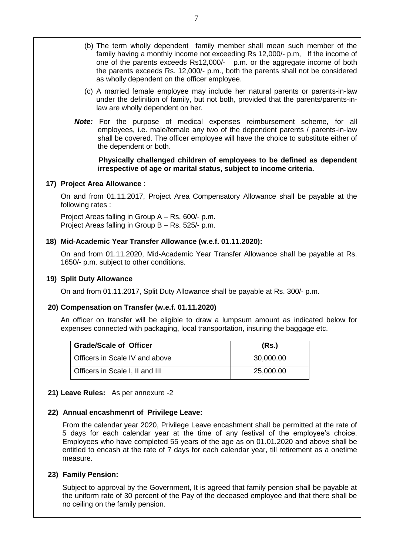- (b) The term wholly dependent family member shall mean such member of the family having a monthly income not exceeding Rs 12,000/- p.m, If the income of one of the parents exceeds Rs12,000/- p.m. or the aggregate income of both the parents exceeds Rs. 12,000/- p.m., both the parents shall not be considered as wholly dependent on the officer employee.
- (c) A married female employee may include her natural parents or parents-in-law under the definition of family, but not both, provided that the parents/parents-inlaw are wholly dependent on her.
- *Note:* For the purpose of medical expenses reimbursement scheme, for all employees, i.e. male/female any two of the dependent parents / parents-in-law shall be covered. The officer employee will have the choice to substitute either of the dependent or both.

**Physically challenged children of employees to be defined as dependent irrespective of age or marital status, subject to income criteria.**

## **17) Project Area Allowance** :

On and from 01.11.2017, Project Area Compensatory Allowance shall be payable at the following rates :

Project Areas falling in Group A – Rs. 600/- p.m. Project Areas falling in Group B – Rs. 525/- p.m.

## **18) Mid-Academic Year Transfer Allowance (w.e.f. 01.11.2020):**

On and from 01.11.2020, Mid-Academic Year Transfer Allowance shall be payable at Rs. 1650/- p.m. subject to other conditions.

#### **19) Split Duty Allowance**

On and from 01.11.2017, Split Duty Allowance shall be payable at Rs. 300/- p.m.

#### **20) Compensation on Transfer (w.e.f. 01.11.2020)**

An officer on transfer will be eligible to draw a lumpsum amount as indicated below for expenses connected with packaging, local transportation, insuring the baggage etc.

| <b>Grade/Scale of Officer</b>   | (Rs.)     |
|---------------------------------|-----------|
| Officers in Scale IV and above  | 30,000.00 |
| Officers in Scale I, II and III | 25,000.00 |

#### **21) Leave Rules:** As per annexure -2

#### **22) Annual encashmenrt of Privilege Leave:**

From the calendar year 2020, Privilege Leave encashment shall be permitted at the rate of 5 days for each calendar year at the time of any festival of the employee's choice. Employees who have completed 55 years of the age as on 01.01.2020 and above shall be entitled to encash at the rate of 7 days for each calendar year, till retirement as a onetime measure.

#### **23) Family Pension:**

Subject to approval by the Government, It is agreed that family pension shall be payable at the uniform rate of 30 percent of the Pay of the deceased employee and that there shall be no ceiling on the family pension.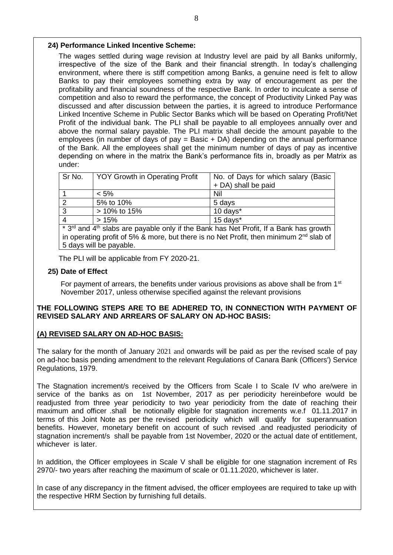## **24) Performance Linked Incentive Scheme:**

The wages settled during wage revision at Industry level are paid by all Banks uniformly, irrespective of the size of the Bank and their financial strength. In today's challenging environment, where there is stiff competition among Banks, a genuine need is felt to allow Banks to pay their employees something extra by way of encouragement as per the profitability and financial soundness of the respective Bank. In order to inculcate a sense of competition and also to reward the performance, the concept of Productivity Linked Pay was discussed and after discussion between the parties, it is agreed to introduce Performance Linked Incentive Scheme in Public Sector Banks which will be based on Operating Profit/Net Profit of the individual bank. The PLI shall be payable to all employees annually over and above the normal salary payable. The PLI matrix shall decide the amount payable to the employees (in number of days of pay = Basic + DA) depending on the annual performance of the Bank. All the employees shall get the minimum number of days of pay as incentive depending on where in the matrix the Bank's performance fits in, broadly as per Matrix as under:

| Sr No. | <b>YOY Growth in Operating Profit</b> | No. of Days for which salary (Basic<br>+ DA) shall be paid |
|--------|---------------------------------------|------------------------------------------------------------|
|        | $< 5\%$                               | Nil                                                        |
|        | 5% to 10%                             | 5 days                                                     |
| 3      | > 10% to 15%                          | 10 days*                                                   |
|        | >15%                                  | 15 days*                                                   |

 $*$  3<sup>rd</sup> and 4<sup>th</sup> slabs are payable only if the Bank has Net Profit, If a Bank has growth in operating profit of 5% & more, but there is no Net Profit, then minimum  $2^{nd}$  slab of 5 days will be payable.

The PLI will be applicable from FY 2020-21.

## **25) Date of Effect**

For payment of arrears, the benefits under various provisions as above shall be from  $1<sup>st</sup>$ November 2017, unless otherwise specified against the relevant provisions

## **THE FOLLOWING STEPS ARE TO BE ADHERED TO, IN CONNECTION WITH PAYMENT OF REVISED SALARY AND ARREARS OF SALARY ON AD-HOC BASIS:**

## **(A) REVISED SALARY ON AD-HOC BASIS:**

The salary for the month of January 2021 and onwards will be paid as per the revised scale of pay on ad-hoc basis pending amendment to the relevant Regulations of Canara Bank (Officers') Service Regulations, 1979.

The Stagnation increment/s received by the Officers from Scale I to Scale IV who are/were in service of the banks as on 1st November, 2017 as per periodicity hereinbefore would be readjusted from three year periodicity to two year periodicity from the date of reaching their maximum and officer .shall be notionally eligible for stagnation increments w.e.f 01.11.2017 in terms of this Joint Note as per the revised periodicity which will qualify for superannuation benefits. However, monetary benefit on account of such revised .and readjusted periodicity of stagnation increment/s shall be payable from 1st November, 2020 or the actual date of entitlement, whichever is later.

In addition, the Officer employees in Scale V shall be eligible for one stagnation increment of Rs 2970/- two years after reaching the maximum of scale or 01.11.2020, whichever is later.

In case of any discrepancy in the fitment advised, the officer employees are required to take up with the respective HRM Section by furnishing full details.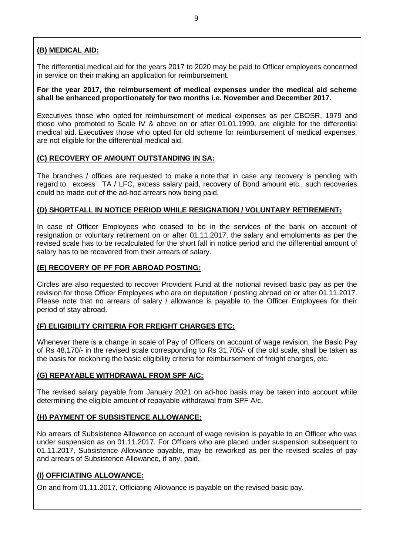# **(B) MEDICAL AID:**

The differential medical aid for the years 2017 to 2020 may be paid to Officer employees concerned in service on their making an application for reimbursement.

## **For the year 2017, the reimbursement of medical expenses under the medical aid scheme shall be enhanced proportionately for two months i.e. November and December 2017.**

Executives those who opted for reimbursement of medical expenses as per CBOSR, 1979 and those who promoted to Scale IV & above on or after 01.01.1999, are eligible for the differential medical aid. Executives those who opted for old scheme for reimbursement of medical expenses, are not eligible for the differential medical aid.

# **(C) RECOVERY OF AMOUNT OUTSTANDING IN SA:**

The branches / offices are requested to make a note that in case any recovery is pending with regard to excess TA / LFC, excess salary paid, recovery of Bond amount etc., such recoveries could be made out of the ad-hoc arrears now being paid.

# **(D) SHORTFALL IN NOTICE PERIOD WHILE RESIGNATION / VOLUNTARY RETIREMENT:**

In case of Officer Employees who ceased to be in the services of the bank on account of resignation or voluntary retirement on or after 01.11.2017, the salary and emoluments as per the revised scale has to be recalculated for the short fall in notice period and the differential amount of salary has to be recovered from their arrears of salary.

## **(E) RECOVERY OF PF FOR ABROAD POSTING:**

Circles are also requested to recover Provident Fund at the notional revised basic pay as per the revision for those Officer Employees who are on deputation / posting abroad on or after 01.11.2017. Please note that no arrears of salary / allowance is payable to the Officer Employees for their period of stay abroad.

# **(F) ELIGIBILITY CRITERIA FOR FREIGHT CHARGES ETC:**

Whenever there is a change in scale of Pay of Officers on account of wage revision, the Basic Pay of Rs 48,170/- in the revised scale corresponding to Rs 31,705/- of the old scale, shall be taken as the basis for reckoning the basic eligibility criteria for reimbursement of freight charges, etc.

# **(G) REPAYABLE WITHDRAWAL FROM SPF A/C:**

The revised salary payable from January 2021 on ad-hoc basis may be taken into account while determining the eligible amount of repayable withdrawal from SPF A/c.

## **(H) PAYMENT OF SUBSISTENCE ALLOWANCE:**

No arrears of Subsistence Allowance on account of wage revision is payable to an Officer who was under suspension as on 01.11.2017. For Officers who are placed under suspension subsequent to 01.11.2017, Subsistence Allowance payable, may be reworked as per the revised scales of pay and arrears of Subsistence Allowance, if any, paid.

## **(I) OFFICIATING ALLOWANCE:**

On and from 01.11.2017, Officiating Allowance is payable on the revised basic pay.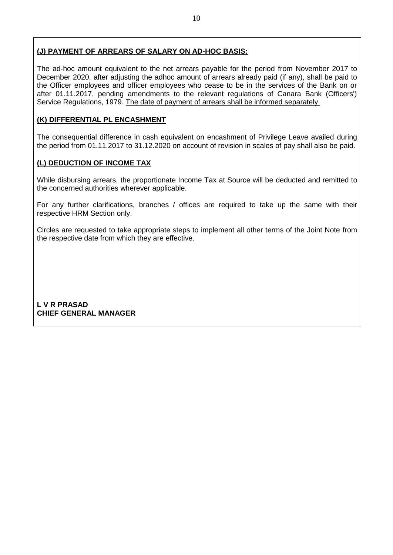## **(J) PAYMENT OF ARREARS OF SALARY ON AD-HOC BASIS:**

The ad-hoc amount equivalent to the net arrears payable for the period from November 2017 to December 2020, after adjusting the adhoc amount of arrears already paid (if any), shall be paid to the Officer employees and officer employees who cease to be in the services of the Bank on or after 01.11.2017, pending amendments to the relevant regulations of Canara Bank (Officers') Service Regulations, 1979. The date of payment of arrears shall be informed separately.

## **(K) DIFFERENTIAL PL ENCASHMENT**

The consequential difference in cash equivalent on encashment of Privilege Leave availed during the period from 01.11.2017 to 31.12.2020 on account of revision in scales of pay shall also be paid.

## **(L) DEDUCTION OF INCOME TAX**

While disbursing arrears, the proportionate Income Tax at Source will be deducted and remitted to the concerned authorities wherever applicable.

For any further clarifications, branches / offices are required to take up the same with their respective HRM Section only.

Circles are requested to take appropriate steps to implement all other terms of the Joint Note from the respective date from which they are effective.

**L V R PRASAD CHIEF GENERAL MANAGER**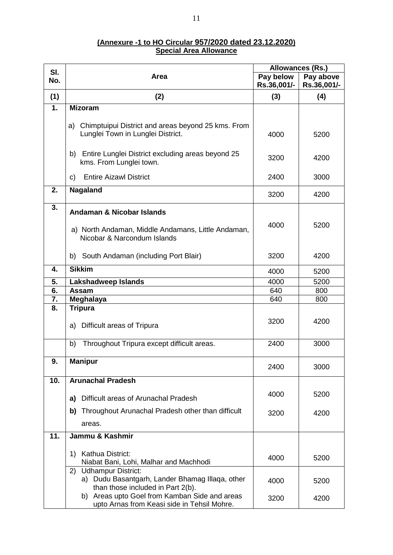| (Annexure -1 to HO Circular 957/2020 dated 23.12.2020) |  |
|--------------------------------------------------------|--|
| <b>Special Area Allowance</b>                          |  |

|     |                                                                                    | Allowances (Rs.) |             |
|-----|------------------------------------------------------------------------------------|------------------|-------------|
| SI. | Area                                                                               | Pay below        | Pay above   |
| No. |                                                                                    | Rs.36,001/-      | Rs.36,001/- |
| (1) | (2)                                                                                | (3)              | (4)         |
| 1.  | <b>Mizoram</b>                                                                     |                  |             |
|     |                                                                                    |                  |             |
|     | Chimptuipui District and areas beyond 25 kms. From<br>a)                           |                  |             |
|     | Lunglei Town in Lunglei District.                                                  | 4000             | 5200        |
|     |                                                                                    |                  |             |
|     |                                                                                    |                  |             |
|     | Entire Lunglei District excluding areas beyond 25<br>b)<br>kms. From Lunglei town. | 3200             | 4200        |
|     |                                                                                    |                  |             |
|     | <b>Entire Aizawl District</b><br>C)                                                | 2400             | 3000        |
| 2.  | Nagaland                                                                           |                  |             |
|     |                                                                                    | 3200             | 4200        |
| 3.  |                                                                                    |                  |             |
|     | <b>Andaman &amp; Nicobar Islands</b>                                               |                  |             |
|     |                                                                                    | 4000             | 5200        |
|     | a) North Andaman, Middle Andamans, Little Andaman,                                 |                  |             |
|     | Nicobar & Narcondum Islands                                                        |                  |             |
|     | b) South Andaman (including Port Blair)                                            | 3200             | 4200        |
|     |                                                                                    |                  |             |
| 4.  | <b>Sikkim</b>                                                                      | 4000             | 5200        |
| 5.  | <b>Lakshadweep Islands</b>                                                         | 4000             | 5200        |
| 6.  | Assam                                                                              | 640              | 800         |
| 7.  | Meghalaya                                                                          | 640              | 800         |
| 8.  | <b>Tripura</b>                                                                     |                  |             |
|     |                                                                                    | 3200             | 4200        |
|     | a) Difficult areas of Tripura                                                      |                  |             |
|     |                                                                                    |                  | 3000        |
|     | Throughout Tripura except difficult areas.<br>b)                                   | 2400             |             |
| 9.  | <b>Manipur</b>                                                                     |                  |             |
|     |                                                                                    | 2400             | 3000        |
| 10. | <b>Arunachal Pradesh</b>                                                           |                  |             |
|     |                                                                                    |                  |             |
|     | Difficult areas of Arunachal Pradesh<br>a)                                         | 4000             | 5200        |
|     |                                                                                    |                  |             |
|     | Throughout Arunachal Pradesh other than difficult<br>b)                            | 3200             | 4200        |
|     | areas.                                                                             |                  |             |
| 11. | Jammu & Kashmir                                                                    |                  |             |
|     |                                                                                    |                  |             |
|     | Kathua District:<br>1)<br>Niabat Bani, Lohi, Malhar and Machhodi                   | 4000             | 5200        |
|     | 2) Udhampur District:                                                              |                  |             |
|     | a) Dudu Basantgarh, Lander Bhamag Illaga, other                                    |                  |             |
|     | than those included in Part 2(b).                                                  | 4000             | 5200        |
|     | b) Areas upto Goel from Kamban Side and areas                                      | 3200             | 4200        |
|     | upto Arnas from Keasi side in Tehsil Mohre.                                        |                  |             |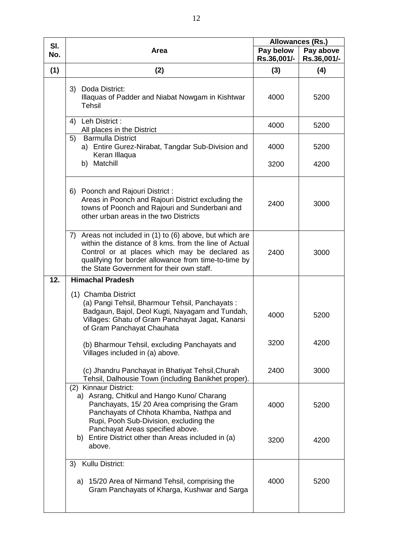| SI. |                                                                                                                                                                                                                                                                         | Allowances (Rs.)         |                          |
|-----|-------------------------------------------------------------------------------------------------------------------------------------------------------------------------------------------------------------------------------------------------------------------------|--------------------------|--------------------------|
| No. | Area                                                                                                                                                                                                                                                                    | Pay below<br>Rs.36,001/- | Pay above<br>Rs.36,001/- |
| (1) | (2)                                                                                                                                                                                                                                                                     | (3)                      | (4)                      |
|     | 3) Doda District:<br>Illaquas of Padder and Niabat Nowgam in Kishtwar<br>Tehsil                                                                                                                                                                                         | 4000                     | 5200                     |
|     | Leh District:<br>4)<br>All places in the District                                                                                                                                                                                                                       | 4000                     | 5200                     |
|     | 5)<br><b>Barmulla District</b><br>a) Entire Gurez-Nirabat, Tangdar Sub-Division and<br>Keran Illaqua                                                                                                                                                                    | 4000                     | 5200                     |
|     | b) Matchill                                                                                                                                                                                                                                                             | 3200                     | 4200                     |
|     | 6) Poonch and Rajouri District :<br>Areas in Poonch and Rajouri District excluding the<br>towns of Poonch and Rajouri and Sunderbani and<br>other urban areas in the two Districts                                                                                      | 2400                     | 3000                     |
|     | 7) Areas not included in (1) to (6) above, but which are<br>within the distance of 8 kms. from the line of Actual<br>Control or at places which may be declared as<br>qualifying for border allowance from time-to-time by<br>the State Government for their own staff. | 2400                     | 3000                     |
| 12. | <b>Himachal Pradesh</b>                                                                                                                                                                                                                                                 |                          |                          |
|     | (1) Chamba District<br>(a) Pangi Tehsil, Bharmour Tehsil, Panchayats:<br>Badgaun, Bajol, Deol Kugti, Nayagam and Tundah,<br>Villages: Ghatu of Gram Panchayat Jagat, Kanarsi<br>of Gram Panchayat Chauhata                                                              | 4000                     | 5200                     |
|     | (b) Bharmour Tehsil, excluding Panchayats and<br>Villages included in (a) above.                                                                                                                                                                                        | 3200                     | 4200                     |
|     | (c) Jhandru Panchayat in Bhatiyat Tehsil, Churah<br>Tehsil, Dalhousie Town (including Banikhet proper).                                                                                                                                                                 | 2400                     | 3000                     |
|     | (2) Kinnaur District:<br>a) Asrang, Chitkul and Hango Kuno/ Charang<br>Panchayats, 15/20 Area comprising the Gram<br>Panchayats of Chhota Khamba, Nathpa and<br>Rupi, Pooh Sub-Division, excluding the                                                                  | 4000                     | 5200                     |
|     | Panchayat Areas specified above.<br>b) Entire District other than Areas included in (a)<br>above.                                                                                                                                                                       | 3200                     | 4200                     |
|     | Kullu District:<br>3)                                                                                                                                                                                                                                                   |                          |                          |
|     | a) 15/20 Area of Nirmand Tehsil, comprising the<br>Gram Panchayats of Kharga, Kushwar and Sarga                                                                                                                                                                         | 4000                     | 5200                     |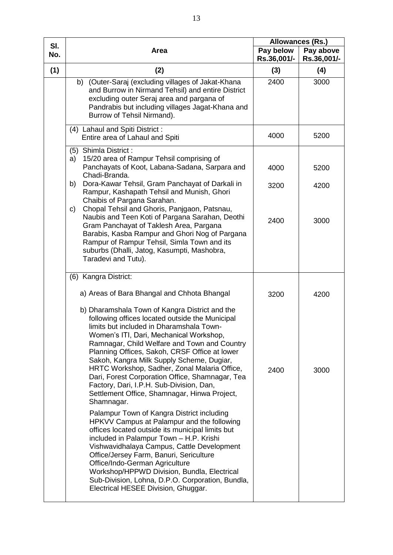| SI. |                                                                                                                                                                                                                                                                                                                                                                                                                                                                                                                                                     | Allowances (Rs.)         |                          |
|-----|-----------------------------------------------------------------------------------------------------------------------------------------------------------------------------------------------------------------------------------------------------------------------------------------------------------------------------------------------------------------------------------------------------------------------------------------------------------------------------------------------------------------------------------------------------|--------------------------|--------------------------|
| No. | Area                                                                                                                                                                                                                                                                                                                                                                                                                                                                                                                                                | Pay below<br>Rs.36,001/- | Pay above<br>Rs.36,001/- |
| (1) | (2)                                                                                                                                                                                                                                                                                                                                                                                                                                                                                                                                                 | (3)                      | (4)                      |
|     | b) (Outer-Saraj (excluding villages of Jakat-Khana<br>and Burrow in Nirmand Tehsil) and entire District<br>excluding outer Seraj area and pargana of<br>Pandrabis but including villages Jagat-Khana and<br>Burrow of Tehsil Nirmand).                                                                                                                                                                                                                                                                                                              | 2400                     | 3000                     |
|     | (4) Lahaul and Spiti District:<br>Entire area of Lahaul and Spiti                                                                                                                                                                                                                                                                                                                                                                                                                                                                                   | 4000                     | 5200                     |
|     | (5) Shimla District:<br>15/20 area of Rampur Tehsil comprising of<br>a)<br>Panchayats of Koot, Labana-Sadana, Sarpara and<br>Chadi-Branda.<br>Dora-Kawar Tehsil, Gram Panchayat of Darkali in<br>b)<br>Rampur, Kashapath Tehsil and Munish, Ghori                                                                                                                                                                                                                                                                                                   | 4000<br>3200             | 5200<br>4200             |
|     | Chaibis of Pargana Sarahan.<br>Chopal Tehsil and Ghoris, Panjgaon, Patsnau,<br>C)<br>Naubis and Teen Koti of Pargana Sarahan, Deothi<br>Gram Panchayat of Taklesh Area, Pargana<br>Barabis, Kasba Rampur and Ghori Nog of Pargana<br>Rampur of Rampur Tehsil, Simla Town and its<br>suburbs (Dhalli, Jatog, Kasumpti, Mashobra,<br>Taradevi and Tutu).                                                                                                                                                                                              | 2400                     | 3000                     |
|     | (6) Kangra District:                                                                                                                                                                                                                                                                                                                                                                                                                                                                                                                                |                          |                          |
|     | a) Areas of Bara Bhangal and Chhota Bhangal                                                                                                                                                                                                                                                                                                                                                                                                                                                                                                         | 3200                     | 4200                     |
|     | b) Dharamshala Town of Kangra District and the<br>following offices located outside the Municipal<br>limits but included in Dharamshala Town-<br>Women's ITI, Dari, Mechanical Workshop,<br>Ramnagar, Child Welfare and Town and Country<br>Planning Offices, Sakoh, CRSF Office at lower<br>Sakoh, Kangra Milk Supply Scheme, Dugiar,<br>HRTC Workshop, Sadher, Zonal Malaria Office,<br>Dari, Forest Corporation Office, Shamnagar, Tea<br>Factory, Dari, I.P.H. Sub-Division, Dan,<br>Settlement Office, Shamnagar, Hinwa Project,<br>Shamnagar. | 2400                     | 3000                     |
|     | Palampur Town of Kangra District including<br>HPKVV Campus at Palampur and the following<br>offices located outside its municipal limits but<br>included in Palampur Town - H.P. Krishi<br>Vishwavidhalaya Campus, Cattle Development<br>Office/Jersey Farm, Banuri, Sericulture<br>Office/Indo-German Agriculture<br>Workshop/HPPWD Division, Bundla, Electrical<br>Sub-Division, Lohna, D.P.O. Corporation, Bundla,<br>Electrical HESEE Division, Ghuggar.                                                                                        |                          |                          |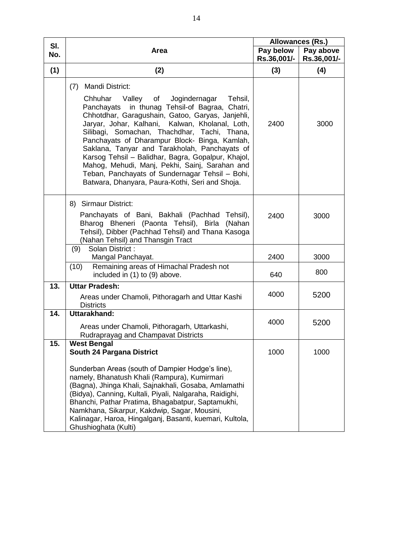| SI. |                                                                                                                                                                                                                                                                                                                                                                                                                                                                                                                                                                                                               |             | Allowances (Rs.) |
|-----|---------------------------------------------------------------------------------------------------------------------------------------------------------------------------------------------------------------------------------------------------------------------------------------------------------------------------------------------------------------------------------------------------------------------------------------------------------------------------------------------------------------------------------------------------------------------------------------------------------------|-------------|------------------|
| No. | <b>Area</b>                                                                                                                                                                                                                                                                                                                                                                                                                                                                                                                                                                                                   | Pay below   | Pay above        |
|     |                                                                                                                                                                                                                                                                                                                                                                                                                                                                                                                                                                                                               | Rs.36,001/- | Rs.36,001/-      |
| (1) | (2)                                                                                                                                                                                                                                                                                                                                                                                                                                                                                                                                                                                                           | (3)         | (4)              |
|     | <b>Mandi District:</b><br>(7)<br>Valley<br>Jogindernagar Tehsil,<br>Chhuhar<br>of<br>in thunag Tehsil-of Bagraa, Chatri,<br>Panchayats<br>Chhotdhar, Garagushain, Gatoo, Garyas, Janjehli,<br>Jaryar, Johar, Kalhani, Kalwan, Kholanal, Loth,<br>Silibagi, Somachan, Thachdhar, Tachi, Thana,<br>Panchayats of Dharampur Block- Binga, Kamlah,<br>Saklana, Tanyar and Tarakholah, Panchayats of<br>Karsog Tehsil - Balidhar, Bagra, Gopalpur, Khajol,<br>Mahog, Mehudi, Manj, Pekhi, Sainj, Sarahan and<br>Teban, Panchayats of Sundernagar Tehsil - Bohi,<br>Batwara, Dhanyara, Paura-Kothi, Seri and Shoja. | 2400        | 3000             |
|     | 8) Sirmaur District:<br>Panchayats of Bani, Bakhali (Pachhad Tehsil),<br>Bharog Bheneri (Paonta Tehsil), Birla (Nahan<br>Tehsil), Dibber (Pachhad Tehsil) and Thana Kasoga<br>(Nahan Tehsil) and Thansgin Tract                                                                                                                                                                                                                                                                                                                                                                                               | 2400        | 3000             |
|     | Solan District:<br>(9)<br>Mangal Panchayat.                                                                                                                                                                                                                                                                                                                                                                                                                                                                                                                                                                   | 2400        | 3000             |
|     | Remaining areas of Himachal Pradesh not<br>(10)<br>included in (1) to (9) above.                                                                                                                                                                                                                                                                                                                                                                                                                                                                                                                              | 640         | 800              |
| 13. | <b>Uttar Pradesh:</b><br>Areas under Chamoli, Pithoragarh and Uttar Kashi<br><b>Districts</b>                                                                                                                                                                                                                                                                                                                                                                                                                                                                                                                 | 4000        | 5200             |
| 14. | Uttarakhand:<br>Areas under Chamoli, Pithoragarh, Uttarkashi,<br>Rudraprayag and Champavat Districts                                                                                                                                                                                                                                                                                                                                                                                                                                                                                                          | 4000        | 5200             |
| 15. | <b>West Bengal</b><br>South 24 Pargana District<br>Sunderban Areas (south of Dampier Hodge's line),<br>namely, Bhanatush Khali (Rampura), Kumirmari<br>(Bagna), Jhinga Khali, Sajnakhali, Gosaba, Amlamathi<br>(Bidya), Canning, Kultali, Piyali, Nalgaraha, Raidighi,<br>Bhanchi, Pathar Pratima, Bhagabatpur, Saptamukhi,                                                                                                                                                                                                                                                                                   | 1000        | 1000             |
|     | Namkhana, Sikarpur, Kakdwip, Sagar, Mousini,<br>Kalinagar, Haroa, Hingalganj, Basanti, kuemari, Kultola,<br>Ghushioghata (Kulti)                                                                                                                                                                                                                                                                                                                                                                                                                                                                              |             |                  |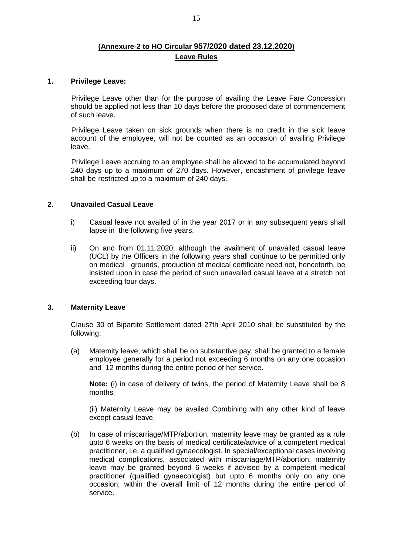# **(Annexure-2 to HO Circular 957/2020 dated 23.12.2020) Leave Rules**

#### **1. Privilege Leave:**

Privilege Leave other than for the purpose of availing the Leave Fare Concession should be applied not less than 10 days before the proposed date of commencement of such leave.

Privilege Leave taken on sick grounds when there is no credit in the sick leave account of the employee, will not be counted as an occasion of availing Privilege leave.

Privilege Leave accruing to an employee shall be allowed to be accumulated beyond 240 days up to a maximum of 270 days. However, encashment of privilege leave shall be restricted up to a maximum of 240 days.

## **2. Unavailed Casual Leave**

- i) Casual leave not availed of in the year 2017 or in any subsequent years shall lapse in the following five years.
- ii) On and from 01.11.2020, although the availment of unavailed casual leave (UCL) by the Officers in the following years shall continue to be permitted only on medical grounds, production of medical certificate need not, henceforth, be insisted upon in case the period of such unavailed casual leave at a stretch not exceeding four days.

## **3. Maternity Leave**

 Clause 30 of Bipartite Settlement dated 27th April 2010 shall be substituted by the following:

(a) Matemity leave, which shall be on substantive pay, shall be granted to a female employee generally for a period not exceeding 6 months on any one occasion and 12 months during the entire period of her service.

**Note:** (i) in case of delivery of twins, the period of Maternity Leave shall be 8 months.

(ii) Maternity Leave may be availed Combining with any other kind of leave except casual leave.

(b) In case of miscarriage/MTP/abortion, maternity leave may be granted as a rule upto 6 weeks on the basis of medical certificate/advice of a competent medical practitioner, i.e. a qualified gynaecologist. In special/exceptional cases involving medical complications, associated with miscarriage/MTP/abortion, maternity leave may be granted beyond 6 weeks if advised by a competent medical practitioner (qualified gynaecologist) but upto 6 months only on any one occasion, within the overall limit of 12 months during the entire period of service.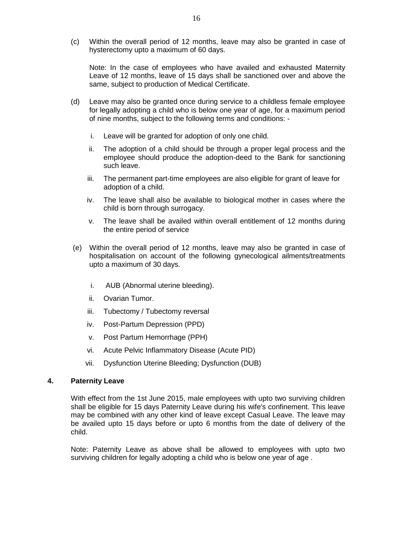(c) Within the overall period of 12 months, leave may also be granted in case of hysterectomy upto a maximum of 60 days.

Note: In the case of employees who have availed and exhausted Maternity Leave of 12 months, leave of 15 days shall be sanctioned over and above the same, subject to production of Medical Certificate.

- (d) Leave may also be granted once during service to a childless female employee for legally adopting a child who is below one year of age, for a maximum period of nine months, subject to the following terms and conditions:
	- i. Leave will be granted for adoption of only one child.
	- ii. The adoption of a child should be through a proper legal process and the employee should produce the adoption-deed to the Bank for sanctioning such leave.
	- iii. The permanent part-time employees are also eligible for grant of leave for adoption of a child.
	- iv. The leave shall also be available to biological mother in cases where the child is born through surrogacy.
	- v. The leave shall be availed within overall entitlement of 12 months during the entire period of service
- (e) Within the overall period of 12 months, leave may also be granted in case of hospitalisation on account of the following gynecological ailments/treatments upto a maximum of 30 days.
	- i. AUB (Abnormal uterine bleeding).
	- ii. Ovarian Tumor.
	- iii. Tubectomy / Tubectomy reversal
	- iv. Post-Partum Depression (PPD)
	- v. Post Partum Hemorrhage (PPH)
	- vi. Acute Pelvic Inflammatory Disease (Acute PID)
	- vii. Dysfunction Uterine Bleeding; Dysfunction (DUB)

#### **4. Paternity Leave**

With effect from the 1st June 2015, male employees with upto two surviving children shall be eligible for 15 days Paternity Leave during his wife's confinement. This leave may be combined with any other kind of leave except Casual Leave. The leave may be availed upto 15 days before or upto 6 months from the date of delivery of the child.

Note: Paternity Leave as above shall be allowed to employees with upto two surviving children for legally adopting a child who is below one year of age .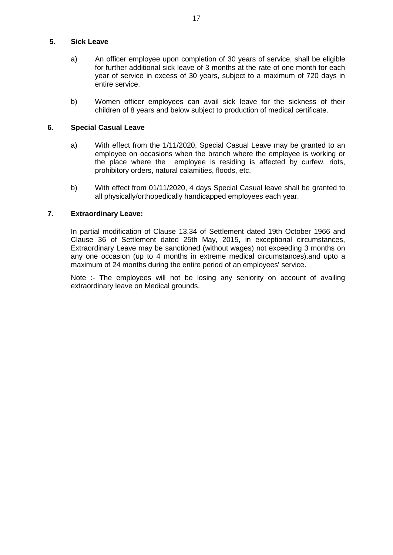## **5. Sick Leave**

- a) An officer employee upon completion of 30 years of service, shall be eligible for further additional sick leave of 3 months at the rate of one month for each year of service in excess of 30 years, subject to a maximum of 720 days in entire service.
- b) Women officer employees can avail sick leave for the sickness of their children of 8 years and below subject to production of medical certificate.

## **6. Special Casual Leave**

- a) With effect from the 1/11/2020, Special Casual Leave may be granted to an employee on occasions when the branch where the employee is working or the place where the employee is residing is affected by curfew, riots, prohibitory orders, natural calamities, floods, etc.
- b) With effect from 01/11/2020, 4 days Special Casual leave shall be granted to all physically/orthopedically handicapped employees each year.

## **7. Extraordinary Leave:**

In partial modification of Clause 13.34 of Settlement dated 19th October 1966 and Clause 36 of Settlement dated 25th May, 2015, in exceptional circumstances, Extraordinary Leave may be sanctioned (without wages) not exceeding 3 months on any one occasion (up to 4 months in extreme medical circumstances).and upto a maximum of 24 months during the entire period of an employees' service.

Note :- The employees will not be losing any seniority on account of availing extraordinary leave on Medical grounds.